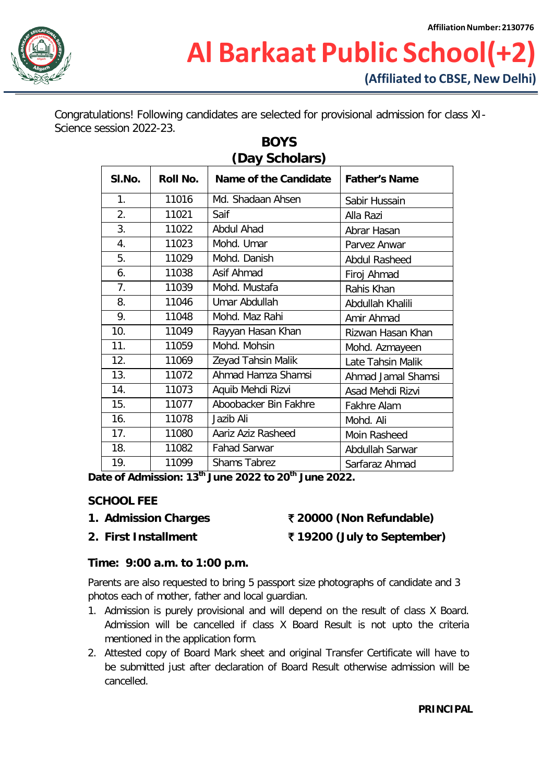

Congratulations! Following candidates are selected for provisional admission for class XI-Science session 2022-23.

| (Day Scholars) |          |                       |                      |  |  |  |
|----------------|----------|-----------------------|----------------------|--|--|--|
| SI.No.         | Roll No. | Name of the Candidate | <b>Father's Name</b> |  |  |  |
| 1.             | 11016    | Md. Shadaan Ahsen     | Sabir Hussain        |  |  |  |
| 2.             | 11021    | Saif                  | Alla Razi            |  |  |  |
| 3.             | 11022    | <b>Abdul Ahad</b>     | Abrar Hasan          |  |  |  |
| 4.             | 11023    | Mohd. Umar            | Parvez Anwar         |  |  |  |
| 5.             | 11029    | Mohd. Danish          | <b>Abdul Rasheed</b> |  |  |  |
| 6.             | 11038    | Asif Ahmad            | Firoj Ahmad          |  |  |  |
| 7.             | 11039    | Mohd. Mustafa         | Rahis Khan           |  |  |  |
| 8.             | 11046    | Umar Abdullah         | Abdullah Khalili     |  |  |  |
| 9.             | 11048    | Mohd. Maz Rahi        | Amir Ahmad           |  |  |  |
| 10.            | 11049    | Rayyan Hasan Khan     | Rizwan Hasan Khan    |  |  |  |
| 11.            | 11059    | Mohd. Mohsin          | Mohd. Azmayeen       |  |  |  |
| 12.            | 11069    | Zeyad Tahsin Malik    | Late Tahsin Malik    |  |  |  |
| 13.            | 11072    | Ahmad Hamza Shamsi    | Ahmad Jamal Shamsi   |  |  |  |
| 14.            | 11073    | Aquib Mehdi Rizvi     | Asad Mehdi Rizvi     |  |  |  |
| 15.            | 11077    | Aboobacker Bin Fakhre | Fakhre Alam          |  |  |  |
| 16.            | 11078    | Jazib Ali             | Mohd. Ali            |  |  |  |
| 17.            | 11080    | Aariz Aziz Rasheed    | Moin Rasheed         |  |  |  |
| 18.            | 11082    | <b>Fahad Sarwar</b>   | Abdullah Sarwar      |  |  |  |
| 19.            | 11099    | <b>Shams Tabrez</b>   | Sarfaraz Ahmad       |  |  |  |

# **BOYS**

**Date of Admission: 13th June 2022 to 20th June 2022.**

#### **SCHOOL FEE**

- 
- **2. First Installment** ` **19200 (July to September)**

### **1. Admission Charges** ` **20000 (Non Refundable)**

### **Time: 9:00 a.m. to 1:00 p.m.**

Parents are also requested to bring 5 passport size photographs of candidate and 3 photos each of mother, father and local guardian.

- 1. Admission is purely provisional and will depend on the result of class X Board. Admission will be cancelled if class X Board Result is not upto the criteria mentioned in the application form.
- 2. Attested copy of Board Mark sheet and original Transfer Certificate will have to be submitted just after declaration of Board Result otherwise admission will be cancelled.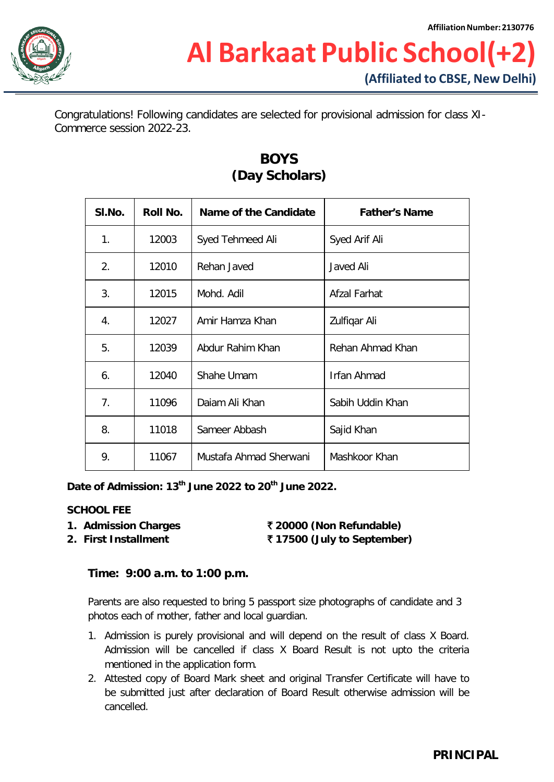

## **Al Barkaat Public School(+2) (Affiliated to CBSE, New Delhi)**

Congratulations! Following candidates are selected for provisional admission for class XI-Commerce session 2022-23.

| SI.No. | Roll No. | Name of the Candidate  | <b>Father's Name</b> |
|--------|----------|------------------------|----------------------|
| 1.     | 12003    | Syed Tehmeed Ali       | Syed Arif Ali        |
| 2.     | 12010    | Rehan Javed            | Javed Ali            |
| 3.     | 12015    | Mohd. Adil             | Afzal Farhat         |
| 4.     | 12027    | Amir Hamza Khan        | Zulfiqar Ali         |
| 5.     | 12039    | Abdur Rahim Khan       | Rehan Ahmad Khan     |
| 6.     | 12040    | Shahe Umam             | Irfan Ahmad          |
| 7.     | 11096    | Daiam Ali Khan         | Sabih Uddin Khan     |
| 8.     | 11018    | Sameer Abbash          | Sajid Khan           |
| 9.     | 11067    | Mustafa Ahmad Sherwani | Mashkoor Khan        |

### **BOYS (Day Scholars)**

**Date of Admission: 13th June 2022 to 20th June 2022.**

#### **SCHOOL FEE**

- **1. Admission Charges** ` **20000 (Non Refundable)**
	-

**2. First Installment** ` **17500 (July to September)**

#### **Time: 9:00 a.m. to 1:00 p.m.**

Parents are also requested to bring 5 passport size photographs of candidate and 3 photos each of mother, father and local guardian.

- 1. Admission is purely provisional and will depend on the result of class X Board. Admission will be cancelled if class X Board Result is not upto the criteria mentioned in the application form.
- 2. Attested copy of Board Mark sheet and original Transfer Certificate will have to be submitted just after declaration of Board Result otherwise admission will be cancelled.